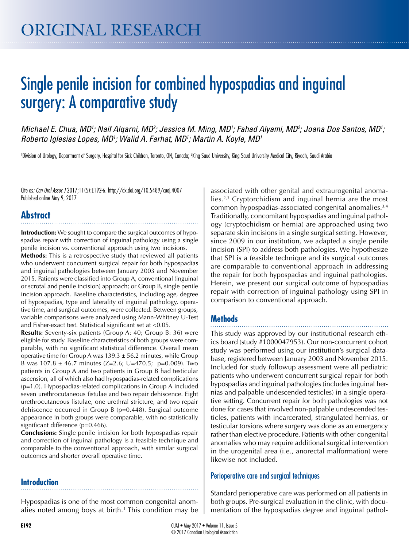# Single penile incision for combined hypospadias and inguinal surgery: A comparative study

*Michael E. Chua, MD'; Naif Alqarni, MD<sup>2</sup>; Jessica M. Ming, MD'; Fahad Alyami, MD<sup>2</sup>; Joana Dos Santos, MD'; Roberto Iglesias Lopes, MD1 ; Walid A. Farhat, MD1 ; Martin A. Koyle, MD1*

'Division of Urology, Department of Surgery, Hospital for Sick Children, Toronto, ON, Canada; ?King Saud University, King Saud University Medical City, Riyadh, Saudi Arabia

Cite as*: Can Urol Assoc J* 2017;11(5):E192-6. http://dx.doi.org/10.5489/cuaj.4007 Published online May 9, 2017

# **Abstract**

**Introduction:** We sought to compare the surgical outcomes of hypospadias repair with correction of inguinal pathology using a single penile incision vs. conventional approach using two incisions.

**Methods:** This is a retrospective study that reviewed all patients who underwent concurrent surgical repair for both hypospadias and inguinal pathologies between January 2003 and November 2015. Patients were classified into Group A, conventional (inguinal or scrotal and penile incision) approach; or Group B, single penile incision approach. Baseline characteristics, including age, degree of hypospadias, type and laterality of inguinal pathology, operative time, and surgical outcomes, were collected. Between groups, variable comparisons were analyzed using Mann-Whitney U-Test and Fisher-exact test. Statistical significant set at <0.05.

**Results:** Seventy-six patients (Group A: 40; Group B: 36) were eligible for study. Baseline characteristics of both groups were comparable, with no significant statistical difference. Overall mean operative time for Group A was  $139.3 \pm 56.2$  minutes, while Group B was  $107.8 \pm 46.7$  minutes (Z=2.6; U=470.5; p=0.009). Two patients in Group A and two patients in Group B had testicular ascension, all of which also had hypospadias-related complications (p=1.0). Hypospadias-related complications in Group A included seven urethrocutaneous fistulae and two repair dehiscence. Eight urethrocutaneous fistulae, one urethral stricture, and two repair dehiscence occurred in Group B (p=0.448). Surgical outcome appearance in both groups were comparable, with no statistically significant difference (p=0.466).

**Conclusions:** Single penile incision for both hypospadias repair and correction of inguinal pathology is a feasible technique and comparable to the conventional approach, with similar surgical outcomes and shorter overall operative time.

# **Introduction**

Hypospadias is one of the most common congenital anomalies noted among boys at birth.<sup>1</sup> This condition may be

associated with other genital and extraurogenital anomalies.<sup>2,3</sup> Cryptorchidism and inguinal hernia are the most common hypospadias-associated congenital anomalies.3,4 Traditionally, concomitant hypospadias and inguinal pathology (cryptochidism or hernia) are approached using two separate skin incisions in a single surgical setting. However, since 2009 in our institution, we adapted a single penile incision (SPI) to address both pathologies. We hypothesize that SPI is a feasible technique and its surgical outcomes are comparable to conventional approach in addressing the repair for both hypospadias and inguinal pathologies. Herein, we present our surgical outcome of hypospadias repair with correction of inguinal pathology using SPI in comparison to conventional approach.

# **Methods**

This study was approved by our institutional research ethics board (study #1000047953). Our non-concurrent cohort study was performed using our institution's surgical database, registered between January 2003 and November 2015. Included for study followup assessment were all pediatric patients who underwent concurrent surgical repair for both hypospadias and inguinal pathologies (includes inguinal hernias and palpable undescended testicles) in a single operative setting. Concurrent repair for both pathologies was not done for cases that involved non-palpable undescended testicles, patients with incarcerated, strangulated hernias, or testicular torsions where surgery was done as an emergency rather than elective procedure. Patients with other congenital anomalies who may require additional surgical intervention in the urogenital area (i.e., anorectal malformation) were likewise not included.

### Perioperative care and surgical techniques

Standard perioperative care was performed on all patients in both groups. Pre-surgical evaluation in the clinic, with documentation of the hypospadias degree and inguinal pathol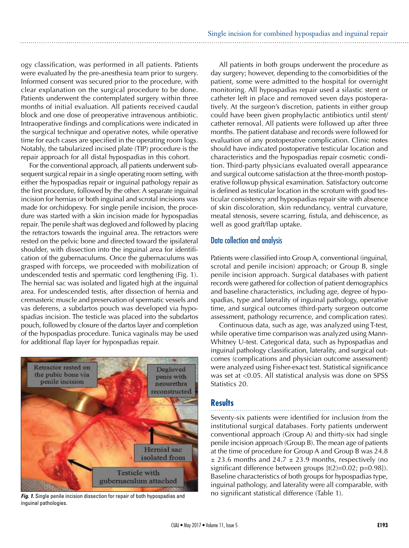ogy classification, was performed in all patients. Patients were evaluated by the pre-anesthesia team prior to surgery. Informed consent was secured prior to the procedure, with clear explanation on the surgical procedure to be done. Patients underwent the contemplated surgery within three months of initial evaluation. All patients received caudal block and one dose of preoperative intravenous antibiotic. Intraoperative findings and complications were indicated in the surgical technique and operative notes, while operative time for each cases are specified in the operating room logs. Notably, the tabularized incised plate (TIP) procedure is the repair approach for all distal hypospadias in this cohort.

For the conventional approach, all patients underwent subsequent surgical repair in a single operating room setting, with either the hypospadias repair or inguinal pathology repair as the first procedure, followed by the other. A separate inguinal incision for hernias or both inguinal and scrotal incisions was made for orchidopexy. For single penile incision, the procedure was started with a skin incision made for hypospadias repair. The penile shaft was degloved and followed by placing the retractors towards the inguinal area. The retractors were rested on the pelvic bone and directed toward the ipsilateral shoulder, with dissection into the inguinal area for identification of the gubernaculums. Once the gubernaculums was grasped with forceps, we proceeded with mobilization of undescended testis and spermatic cord lengthening (Fig. 1). The hernial sac was isolated and ligated high at the inguinal area. For undescended testis, after dissection of hernia and cremasteric muscle and preservation of spermatic vessels and vas deferens, a subdartos pouch was developed via hypospadias incision. The testicle was placed into the subdartos pouch, followed by closure of the dartos layer and completion of the hypospadias procedure. Tunica vaginalis may be used for additional flap layer for hypospadias repair.



*Fig. 1.* Single penile incision dissection for repair of both hypospadias and inguinal pathologies.

All patients in both groups underwent the procedure as day surgery; however, depending to the comorbidities of the patient, some were admitted to the hospital for overnight monitoring. All hypospadias repair used a silastic stent or catheter left in place and removed seven days postoperatively. At the surgeon's discretion, patients in either group could have been given prophylactic antibiotics until stent/ catheter removal. All patients were followed up after three months. The patient database and records were followed for evaluation of any postoperative complication. Clinic notes should have indicated postoperative testicular location and characteristics and the hypospadias repair cosmetic condition. Third-party physicians evaluated overall appearance and surgical outcome satisfaction at the three-month postoperative followup physical examination. Satisfactory outcome is defined as testicular location in the scrotum with good testicular consistency and hypospadias repair site with absence of skin discoloration, skin redundancy, ventral curvature, meatal stenosis, severe scarring, fistula, and dehiscence, as well as good graft/flap uptake.

#### Data collection and analysis

Patients were classified into Group A, conventional (inguinal, scrotal and penile incision) approach; or Group B, single penile incision approach. Surgical databases with patient records were gathered for collection of patient demographics and baseline characteristics, including age, degree of hypospadias, type and laterality of inguinal pathology, operative time, and surgical outcomes (third-party surgeon outcome assessment, pathology recurrence, and complication rates).

Continuous data, such as age, was analyzed using T-test, while operative time comparison was analyzed using Mann-Whitney U-test. Categorical data, such as hypospadias and inguinal pathology classification, laterality, and surgical outcomes (complications and physician outcome assessment) were analyzed using Fisher-exact test. Statistical significance was set at <0.05. All statistical analysis was done on SPSS Statistics 20.

### **Results**

Seventy-six patients were identified for inclusion from the institutional surgical databases. Forty patients underwent conventional approach (Group A) and thirty-six had single penile incision approach (Group B). The mean age of patients at the time of procedure for Group A and Group B was 24.8  $\pm$  23.6 months and 24.7  $\pm$  23.9 months, respectively (no significant difference between groups  $[t(2)=0.02; p=0.98]$ . Baseline characteristics of both groups for hypospadias type, inguinal pathology, and laterality were all comparable, with no significant statistical difference (Table 1).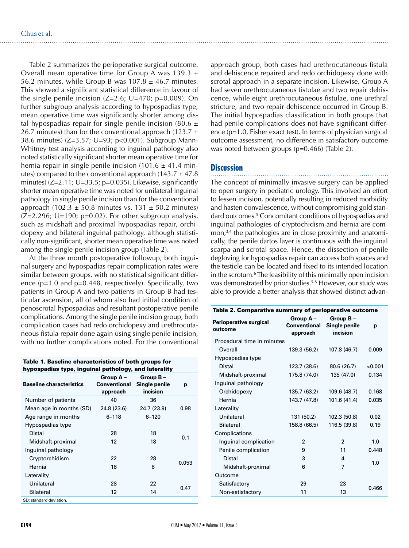Table 2 summarizes the perioperative surgical outcome. Overall mean operative time for Group A was 139.3  $\pm$ 56.2 minutes, while Group B was  $107.8 \pm 46.7$  minutes. This showed a significant statistical difference in favour of the single penile incision  $(Z=2.6; U=470; p=0.009)$ . On further subgroup analysis according to hypospadias type, mean operative time was significantly shorter among distal hypospadias repair for single penile incision (80.6  $\pm$ 26.7 minutes) than for the conventional approach (123.7  $\pm$ 38.6 minutes) (Z=3.57; U=93; p<0.001). Subgroup Mann-Whitney test analysis according to inguinal pathology also noted statistically significant shorter mean operative time for hernia repair in single penile incision  $(101.6 \pm 41.4 \text{ min}$ utes) compared to the conventional approach (143.7  $\pm$  47.8 minutes)  $(Z=2.11; U=33.5; p=0.035)$ . Likewise, significantly shorter mean operative time was noted for unilateral inguinal pathology in single penile incision than for the conventional approach (102.3  $\pm$  50.8 minutes vs. 131  $\pm$  50.2 minutes)  $(Z=2.296; U=190; p=0.02)$ . For other subgroup analysis, such as midshaft and proximal hypospadias repair, orchidopexy and bilateral inguinal pathology, although statistically non-significant, shorter mean operative time was noted among the single penile incision group (Table 2).

At the three month postoperative followup, both inguinal surgery and hypospadias repair complication rates were similar between groups, with no statistical significant difference (p=1.0 and p=0.448, respectively). Specifically, two patients in Group A and two patients in Group B had testicular ascension, all of whom also had initial condition of penoscrotal hypospadias and resultant postoperative penile complications. Among the single penile incision group, both complication cases had redo orchidopexy and urethrocutaneous fistula repair done again using single penile incision, with no further complications noted. For the conventional

Table 1. Baseline characteristics of both groups for hypospadias type, inguinal pathology, and laterality

| <b>Baseline characteristics</b> | Group A –<br>Conventional<br>approach | Group B-<br>Single penile<br>incision | р     |
|---------------------------------|---------------------------------------|---------------------------------------|-------|
| Number of patients              | 40                                    | 36                                    |       |
| Mean age in months (SD)         | 24.8 (23.6)                           | 24.7 (23.9)                           | 0.98  |
| Age range in months             | 6-118                                 | $6 - 120$                             |       |
| Hypospadias type                |                                       |                                       |       |
| Distal                          | 28                                    | 18                                    |       |
| Midshaft-proximal               | 12                                    | 18                                    | 0.1   |
| Inguinal pathology              |                                       |                                       |       |
| Cryptorchidism                  | 22                                    | 28                                    |       |
| Hernia                          | 18                                    | 8                                     | 0.053 |
| Laterality                      |                                       |                                       |       |
| Unilateral                      | 28                                    | 22                                    |       |
| <b>Bilateral</b>                | 12                                    | 14                                    | 0.47  |
| SD: standard deviation.         |                                       |                                       |       |

approach group, both cases had urethrocutaneous fistula and dehiscence repaired and redo orchidopexy done with scrotal approach in a separate incision. Likewise, Group A had seven urethrocutaneous fistulae and two repair dehiscence, while eight urethrocutaneous fistulae, one urethral stricture, and two repair dehiscence occurred in Group B. The initial hypospadias classification in both groups that had penile complications does not have significant difference (p=1.0, Fisher exact test). In terms of physician surgical outcome assessment, no difference in satisfactory outcome was noted between groups (p=0.466) (Table 2).

#### **Discussion**

The concept of minimally invasive surgery can be applied to open surgery in pediatric urology. This involved an effort to lessen incision, potentially resulting in reduced morbidity and hasten convalescence, without compromising gold standard outcomes.5 Concomitant conditions of hypospadias and inguinal pathologies of cryptochidism and hernia are common;<sup>3,4</sup> the pathologies are in close proximity and anatomically, the penile dartos layer is continuous with the inguinal scarpa and scrotal space. Hence, the dissection of penile degloving for hypospadias repair can access both spaces and the testicle can be located and fixed to its intended location in the scrotum.6 The feasibility of this minimally open incision was demonstrated by prior studies.<sup>5-8</sup> However, our study was able to provide a better analysis that showed distinct advan-

| Table 2. Comparative summary of perioperative outcome |                                       |                                       |         |  |
|-------------------------------------------------------|---------------------------------------|---------------------------------------|---------|--|
| Perioperative surgical<br>outcome                     | Group A -<br>Conventional<br>approach | Group B-<br>Single penile<br>incision | p       |  |
| Procedural time in minutes                            |                                       |                                       |         |  |
| Overall                                               | 139.3 (56.2)                          | 107.8 (46.7)                          | 0.009   |  |
| Hypospadias type                                      |                                       |                                       |         |  |
| Distal                                                | 123.7 (38.6)                          | 80.6(26.7)                            | < 0.001 |  |
| Midshaft-proximal                                     | 175.8 (74.0)                          | 135 (47.0)                            | 0.134   |  |
| Inguinal pathology                                    |                                       |                                       |         |  |
| Orchidopexy                                           | 135.7 (63.2)                          | 109.6 (48.7)                          | 0.168   |  |
| Hernia                                                | 143.7 (47.8)                          | 101.6 (41.4)                          | 0.035   |  |
| Laterality                                            |                                       |                                       |         |  |
| Unilateral                                            | 131 (50.2)                            | 102.3(50.8)                           | 0.02    |  |
| <b>Bilateral</b>                                      | 158.8 (66.5)                          | 116.5 (39.8)                          | 0.19    |  |
| Complications                                         |                                       |                                       |         |  |
| Inguinal complication                                 | 2                                     | $\mathfrak{p}$                        | 1.0     |  |
| Penile complication                                   | 9                                     | 11                                    | 0.448   |  |
| Distal                                                | 3                                     | 4                                     | 1.0     |  |
| Midshaft-proximal                                     | 6                                     | 7                                     |         |  |
| Outcome                                               |                                       |                                       |         |  |
| Satisfactory                                          | 29                                    | 23                                    | 0.466   |  |
| Non-satisfactory                                      | 11                                    | 13                                    |         |  |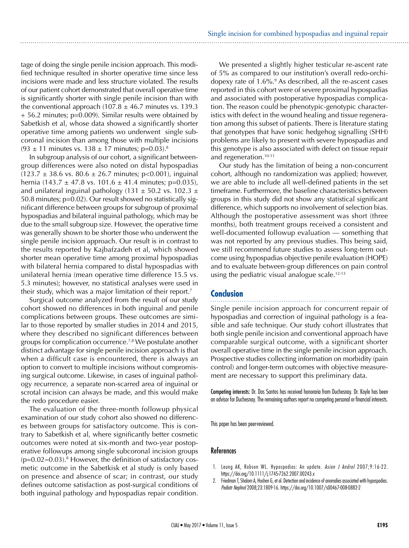tage of doing the single penile incision approach. This modified technique resulted in shorter operative time since less incisions were made and less structure violated. The results of our patient cohort demonstrated that overall operative time is significantly shorter with single penile incision than with the conventional approach (107.8  $\pm$  46.7 minutes vs. 139.3 + 56.2 minutes; p=0.009). Similar results were obtained by Sabetkish et al, whose data showed a significantly shorter operative time among patients wo underwent single subcoronal incision than among those with multiple incisions  $(93 \pm 11 \text{ minutes vs. } 138 \pm 17 \text{ minutes}; \text{p=0.03}).$ <sup>8</sup>

In subgroup analysis of our cohort, a significant betweengroup differences were also noted on distal hypospadias  $(123.7 \pm 38.6 \text{ vs. } 80.6 \pm 26.7 \text{ minutes}; \text{ p} < 0.001)$ , inguinal hernia (143.7 ± 47.8 vs. 101.6 ± 41.4 minutes; p=0.035), and unilateral inguinal pathology (131  $\pm$  50.2 vs. 102.3  $\pm$ 50.8 minutes; p=0.02). Our result showed no statistically significant difference between groups for subgroup of proximal hypospadias and bilateral inguinal pathology, which may be due to the small subgroup size. However, the operative time was generally shown to be shorter those who underwent the single penile incision approach. Our result is in contrast to the results reported by Kajbafzadeh et al, which showed shorter mean operative time among proximal hypospadias with bilateral hernia compared to distal hypospadias with unilateral hernia (mean operative time difference 15.5 vs. 5.3 minutes); however, no statistical analyses were used in their study, which was a major limitation of their report.7

Surgical outcome analyzed from the result of our study cohort showed no differences in both inguinal and penile complications between groups. These outcomes are similar to those reported by smaller studies in 2014 and 2015, where they described no significant differences between groups for complication occurrence.<sup>7,8</sup> We postulate another distinct advantage for single penile incision approach is that when a difficult case is encountered, there is always an option to convert to multiple incisions without compromising surgical outcome. Likewise, in cases of inguinal pathology recurrence, a separate non-scarred area of inguinal or scrotal incision can always be made, and this would make the redo procedure easier.

The evaluation of the three-month followup physical examination of our study cohort also showed no differences between groups for satisfactory outcome. This is contrary to Sabetkish et al, where significantly better cosmetic outcomes were noted at six-month and two-year postoperative followups among single subcoronal incision groups  $(p=0.02-0.03)$ .<sup>8</sup> However, the definition of satisfactory cosmetic outcome in the Sabetkisk et al study is only based on presence and absence of scar; in contrast, our study defines outcome satisfaction as post-surgical conditions of both inguinal pathology and hypospadias repair condition.

We presented a slightly higher testicular re-ascent rate of 5% as compared to our institution's overall redo-orchidopexy rate of 1.6%.<sup>9</sup> As described, all the re-ascent cases reported in this cohort were of severe proximal hypospadias and associated with postoperative hypospadias complication. The reason could be phenotypic-genotypic characteristics with defect in the wound healing and tissue regeneration among this subset of patients. There is literature stating that genotypes that have sonic hedgehog signalling (SHH) problems are likely to present with severe hypospadias and this genotype is also associated with defect on tissue repair and regeneration.10-11

Our study has the limitation of being a non-concurrent cohort, although no randomization was applied; however, we are able to include all well-defined patients in the set timeframe. Furthermore, the baseline characteristics between groups in this study did not show any statistical significant difference, which supports no involvement of selection bias. Although the postoperative assessment was short (three months), both treatment groups received a consistent and well-documented followup evaluation — something that was not reported by any previous studies. This being said, we still recommend future studies to assess long-term outcome using hypospadias objective penile evaluation (HOPE) and to evaluate between-group differences on pain control using the pediatric visual analogue scale.<sup>12-13</sup>

### **Conclusion**

Single penile incision approach for concurrent repair of hypospadias and correction of inguinal pathology is a feasible and safe technique. Our study cohort illustrates that both single penile incision and conventional approach have comparable surgical outcome, with a significant shorter overall operative time in the single penile incision approach. Prospective studies collecting information on morbidity (pain control) and longer-term outcomes with objective measurement are necessary to support this preliminary data.

Competing interests: Dr. Dos Santos has received honoraria from Duchesnay. Dr. Koyle has been an advisor for Duchesnay. The remaining authors report no competing personal or financial interests.

This paper has been peer-reviewed.

#### References

- 1. Leung AK, Robson WL. Hypospadias: An update. *Asian J Androl* 2007;9:16-22. https://doi.org/10.1111/j.1745-7262.2007.00243.x
- 2. Friedman T, Shalom A, Hoshen G, et al. Detection and incidence of anomalies associated with hypospadias. *Pediatr Nephrol* 2008;23:1809-16. https://doi.org/10.1007/s00467-008-0882-2